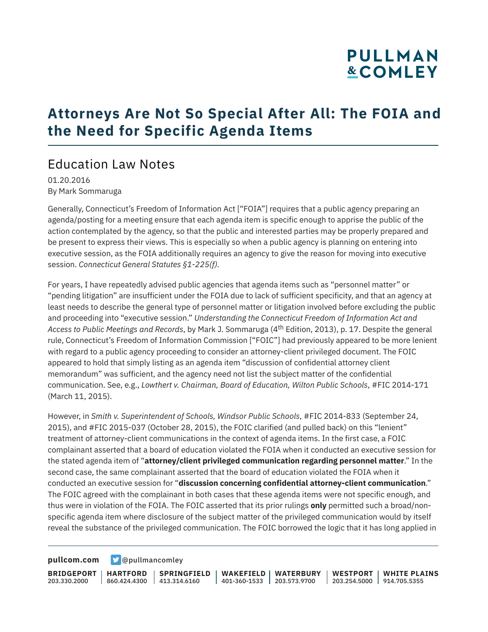# **PULLMAN &COMLEY**

## **Attorneys Are Not So Special After All: The FOIA and the Need for Specific Agenda Items**

#### Education Law Notes

01.20.2016 By Mark Sommaruga

Generally, Connecticut's Freedom of Information Act ["FOIA"] requires that a public agency preparing an agenda/posting for a meeting ensure that each agenda item is specific enough to apprise the public of the action contemplated by the agency, so that the public and interested parties may be properly prepared and be present to express their views. This is especially so when a public agency is planning on entering into executive session, as the FOIA additionally requires an agency to give the reason for moving into executive session. *Connecticut General Statutes §1-225(f).*

For years, I have repeatedly advised public agencies that agenda items such as "personnel matter" or "pending litigation" are insufficient under the FOIA due to lack of sufficient specificity, and that an agency at least needs to describe the general type of personnel matter or litigation involved before excluding the public and proceeding into "executive session." *Understanding the Connecticut Freedom of Information Act and Access to Public Meetings and Records*, by Mark J. Sommaruga (4th Edition, 2013), p. 17. Despite the general rule, Connecticut's Freedom of Information Commission ["FOIC"] had previously appeared to be more lenient with regard to a public agency proceeding to consider an attorney-client privileged document. The FOIC appeared to hold that simply listing as an agenda item "discussion of confidential attorney client memorandum" was sufficient, and the agency need not list the subject matter of the confidential communication. See, e.g., *Lowthert v. Chairman, Board of Education, Wilton Public Schools*, #FIC 2014-171 (March 11, 2015).

However, in *Smith v. Superintendent of Schools, Windsor Public Schools*, #FIC 2014-833 (September 24, 2015), and #FIC 2015-037 (October 28, 2015), the FOIC clarified (and pulled back) on this "lenient" treatment of attorney-client communications in the context of agenda items. In the first case, a FOIC complainant asserted that a board of education violated the FOIA when it conducted an executive session for the stated agenda item of "**attorney/client privileged communication regarding personnel matter**." In the second case, the same complainant asserted that the board of education violated the FOIA when it conducted an executive session for "**discussion concerning confidential attorney-client communication**." The FOIC agreed with the complainant in both cases that these agenda items were not specific enough, and thus were in violation of the FOIA. The FOIC asserted that its prior rulings **only** permitted such a broad/nonspecific agenda item where disclosure of the subject matter of the privileged communication would by itself reveal the substance of the privileged communication. The FOIC borrowed the logic that it has long applied in

**[pullcom.com](https://www.pullcom.com) g** [@pullmancomley](https://twitter.com/PullmanComley)

**BRIDGEPORT** 203.330.2000

**SPRINGFIELD**

**HARTFORD** 860.424.4300 413.314.6160 **WAKEFIELD WATERBURY** 401-360-1533 203.573.9700 **WESTPORT WHITE PLAINS** 203.254.5000 914.705.5355